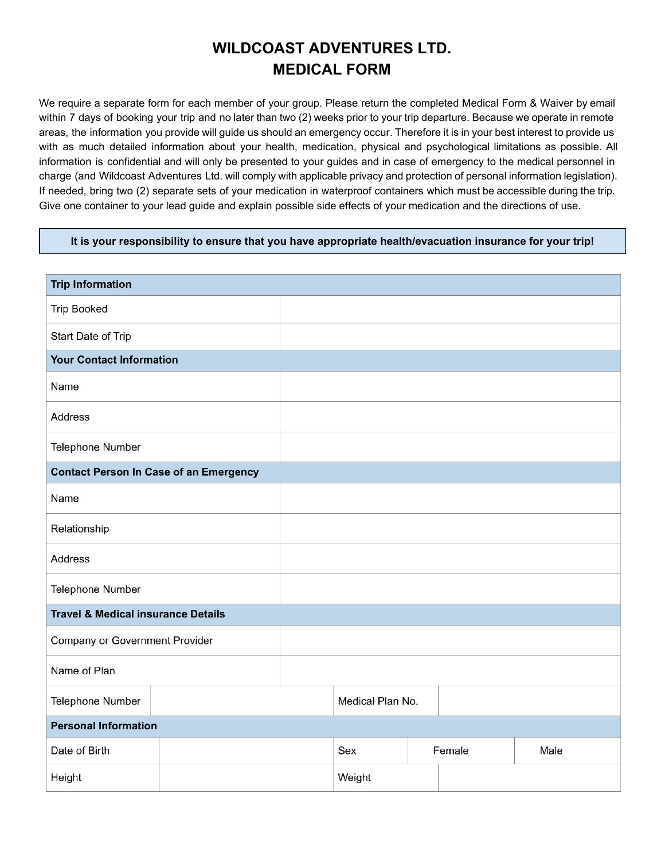## **WILDCOAST ADVENTURES LTD. MEDICAL FORM**

We require a separate form for each member of your group. Please return the completed Medical Form & Waiver by email within 7 days of booking your trip and no later than two (2) weeks prior to your trip departure. Because we operate in remote areas, the information you provide will guide us should an emergency occur. Therefore it is in your best interest to provide us with as much detailed information about your health, medication, physical and psychological limitations as possible. All information is confidential and will only be presented to your guides and in case of emergency to the medical personnel in charge (and Wildcoast Adventures Ltd. will comply with applicable privacy and protection of personal information legislation). If needed, bring two (2) separate sets of your medication in waterproof containers which must be accessible during the trip. Give one container to your lead guide and explain possible side effects of your medication and the directions of use.

## **It is your responsibility to ensure that you have appropriate health/evacuation insurance for your trip!**

| <b>Trip Information</b>                       |  |  |                  |  |        |      |  |
|-----------------------------------------------|--|--|------------------|--|--------|------|--|
| <b>Trip Booked</b>                            |  |  |                  |  |        |      |  |
| Start Date of Trip                            |  |  |                  |  |        |      |  |
| <b>Your Contact Information</b>               |  |  |                  |  |        |      |  |
| Name                                          |  |  |                  |  |        |      |  |
| Address                                       |  |  |                  |  |        |      |  |
| Telephone Number                              |  |  |                  |  |        |      |  |
| <b>Contact Person In Case of an Emergency</b> |  |  |                  |  |        |      |  |
| Name                                          |  |  |                  |  |        |      |  |
| Relationship                                  |  |  |                  |  |        |      |  |
| Address                                       |  |  |                  |  |        |      |  |
| Telephone Number                              |  |  |                  |  |        |      |  |
| <b>Travel &amp; Medical insurance Details</b> |  |  |                  |  |        |      |  |
| Company or Government Provider                |  |  |                  |  |        |      |  |
| Name of Plan                                  |  |  |                  |  |        |      |  |
| Telephone Number                              |  |  | Medical Plan No. |  |        |      |  |
| <b>Personal Information</b>                   |  |  |                  |  |        |      |  |
| Date of Birth                                 |  |  | Sex              |  | Female | Male |  |
| Height                                        |  |  | Weight           |  |        |      |  |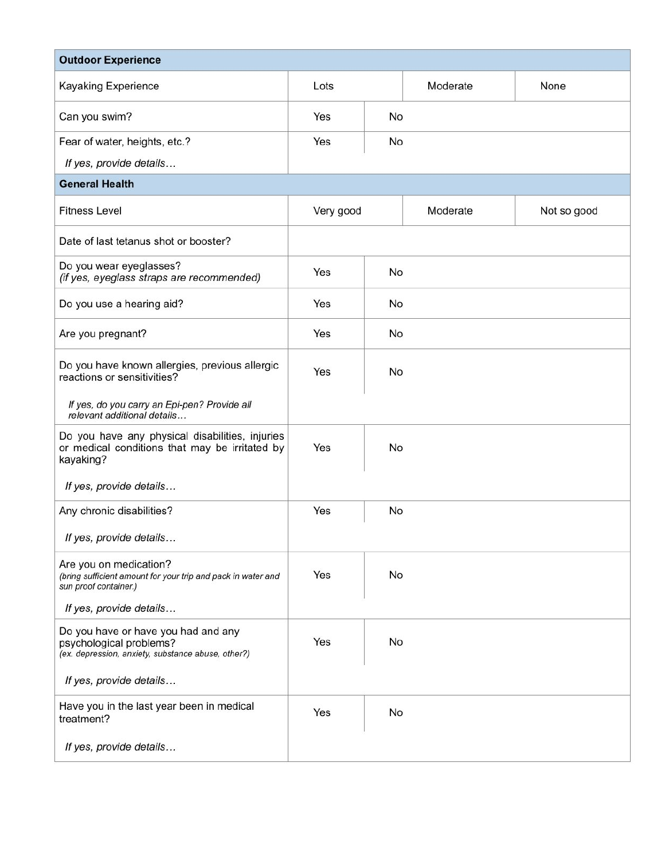| <b>Outdoor Experience</b>                                                                                            |           |    |          |             |
|----------------------------------------------------------------------------------------------------------------------|-----------|----|----------|-------------|
| Kayaking Experience                                                                                                  | Lots      |    | Moderate | None        |
| Can you swim?                                                                                                        | Yes       | No |          |             |
| Fear of water, heights, etc.?                                                                                        | Yes       | No |          |             |
| If yes, provide details                                                                                              |           |    |          |             |
| <b>General Health</b>                                                                                                |           |    |          |             |
| <b>Fitness Level</b>                                                                                                 | Very good |    | Moderate | Not so good |
| Date of last tetanus shot or booster?                                                                                |           |    |          |             |
| Do you wear eyeglasses?<br>(if yes, eyeglass straps are recommended)                                                 | Yes       | No |          |             |
| Do you use a hearing aid?                                                                                            | Yes       | No |          |             |
| Are you pregnant?                                                                                                    | Yes       | No |          |             |
| Do you have known allergies, previous allergic<br>reactions or sensitivities?                                        | Yes       | No |          |             |
| If yes, do you carry an Epi-pen? Provide all<br>relevant additional details                                          |           |    |          |             |
| Do you have any physical disabilities, injuries<br>or medical conditions that may be irritated by<br>kayaking?       | Yes       | No |          |             |
| If yes, provide details                                                                                              |           |    |          |             |
| Any chronic disabilities?                                                                                            | Yes       | No |          |             |
| If yes, provide details                                                                                              |           |    |          |             |
| Are you on medication?<br>(bring sufficient amount for your trip and pack in water and<br>sun proof container.)      | Yes       | No |          |             |
| If yes, provide details                                                                                              |           |    |          |             |
| Do you have or have you had and any<br>psychological problems?<br>(ex. depression, anxiety, substance abuse, other?) | Yes       | No |          |             |
| If yes, provide details                                                                                              |           |    |          |             |
| Have you in the last year been in medical<br>treatment?                                                              | Yes       | No |          |             |
| If yes, provide details                                                                                              |           |    |          |             |